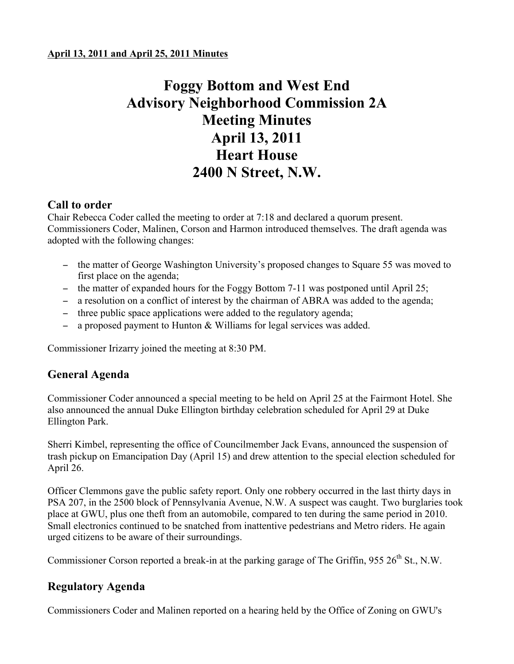# **Foggy Bottom and West End Advisory Neighborhood Commission 2A Meeting Minutes April 13, 2011 Heart House 2400 N Street, N.W.**

# **Call to order**

Chair Rebecca Coder called the meeting to order at 7:18 and declared a quorum present. Commissioners Coder, Malinen, Corson and Harmon introduced themselves. The draft agenda was adopted with the following changes:

- − the matter of George Washington University's proposed changes to Square 55 was moved to first place on the agenda;
- − the matter of expanded hours for the Foggy Bottom 7-11 was postponed until April 25;
- − a resolution on a conflict of interest by the chairman of ABRA was added to the agenda;
- − three public space applications were added to the regulatory agenda;
- − a proposed payment to Hunton & Williams for legal services was added.

Commissioner Irizarry joined the meeting at 8:30 PM.

# **General Agenda**

Commissioner Coder announced a special meeting to be held on April 25 at the Fairmont Hotel. She also announced the annual Duke Ellington birthday celebration scheduled for April 29 at Duke Ellington Park.

Sherri Kimbel, representing the office of Councilmember Jack Evans, announced the suspension of trash pickup on Emancipation Day (April 15) and drew attention to the special election scheduled for April 26.

Officer Clemmons gave the public safety report. Only one robbery occurred in the last thirty days in PSA 207, in the 2500 block of Pennsylvania Avenue, N.W. A suspect was caught. Two burglaries took place at GWU, plus one theft from an automobile, compared to ten during the same period in 2010. Small electronics continued to be snatched from inattentive pedestrians and Metro riders. He again urged citizens to be aware of their surroundings.

Commissioner Corson reported a break-in at the parking garage of The Griffin, 955  $26<sup>th</sup>$  St., N.W.

# **Regulatory Agenda**

Commissioners Coder and Malinen reported on a hearing held by the Office of Zoning on GWU's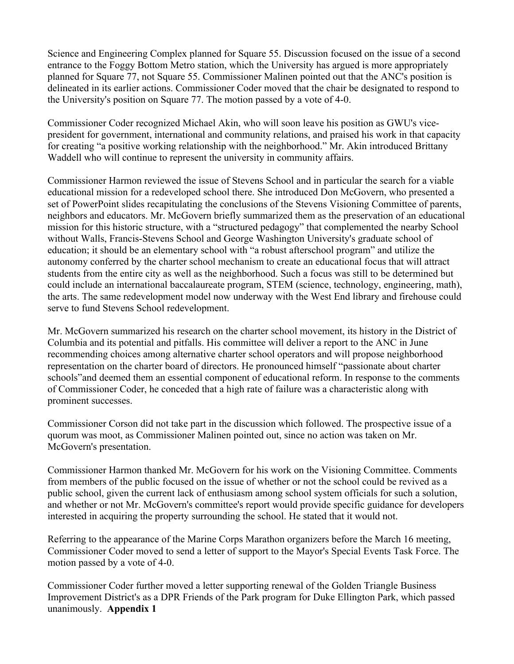Science and Engineering Complex planned for Square 55. Discussion focused on the issue of a second entrance to the Foggy Bottom Metro station, which the University has argued is more appropriately planned for Square 77, not Square 55. Commissioner Malinen pointed out that the ANC's position is delineated in its earlier actions. Commissioner Coder moved that the chair be designated to respond to the University's position on Square 77. The motion passed by a vote of 4-0.

Commissioner Coder recognized Michael Akin, who will soon leave his position as GWU's vicepresident for government, international and community relations, and praised his work in that capacity for creating "a positive working relationship with the neighborhood." Mr. Akin introduced Brittany Waddell who will continue to represent the university in community affairs.

Commissioner Harmon reviewed the issue of Stevens School and in particular the search for a viable educational mission for a redeveloped school there. She introduced Don McGovern, who presented a set of PowerPoint slides recapitulating the conclusions of the Stevens Visioning Committee of parents, neighbors and educators. Mr. McGovern briefly summarized them as the preservation of an educational mission for this historic structure, with a "structured pedagogy" that complemented the nearby School without Walls, Francis-Stevens School and George Washington University's graduate school of education; it should be an elementary school with "a robust afterschool program" and utilize the autonomy conferred by the charter school mechanism to create an educational focus that will attract students from the entire city as well as the neighborhood. Such a focus was still to be determined but could include an international baccalaureate program, STEM (science, technology, engineering, math), the arts. The same redevelopment model now underway with the West End library and firehouse could serve to fund Stevens School redevelopment.

Mr. McGovern summarized his research on the charter school movement, its history in the District of Columbia and its potential and pitfalls. His committee will deliver a report to the ANC in June recommending choices among alternative charter school operators and will propose neighborhood representation on the charter board of directors. He pronounced himself "passionate about charter schools"and deemed them an essential component of educational reform. In response to the comments of Commissioner Coder, he conceded that a high rate of failure was a characteristic along with prominent successes.

Commissioner Corson did not take part in the discussion which followed. The prospective issue of a quorum was moot, as Commissioner Malinen pointed out, since no action was taken on Mr. McGovern's presentation.

Commissioner Harmon thanked Mr. McGovern for his work on the Visioning Committee. Comments from members of the public focused on the issue of whether or not the school could be revived as a public school, given the current lack of enthusiasm among school system officials for such a solution, and whether or not Mr. McGovern's committee's report would provide specific guidance for developers interested in acquiring the property surrounding the school. He stated that it would not.

Referring to the appearance of the Marine Corps Marathon organizers before the March 16 meeting, Commissioner Coder moved to send a letter of support to the Mayor's Special Events Task Force. The motion passed by a vote of 4-0.

Commissioner Coder further moved a letter supporting renewal of the Golden Triangle Business Improvement District's as a DPR Friends of the Park program for Duke Ellington Park, which passed unanimously. **Appendix 1**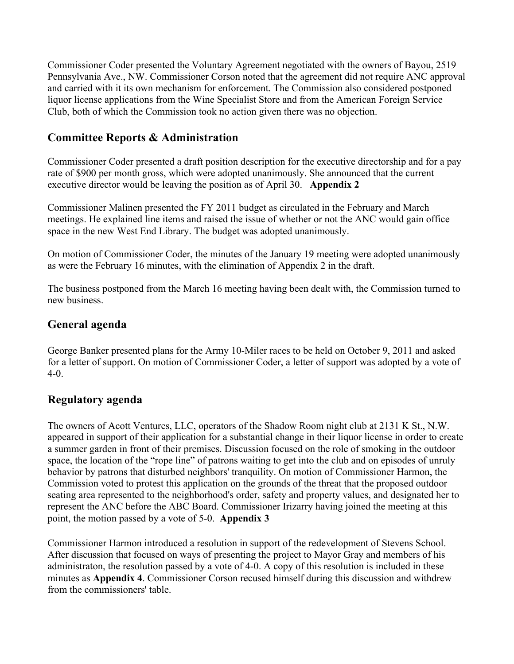Commissioner Coder presented the Voluntary Agreement negotiated with the owners of Bayou, 2519 Pennsylvania Ave., NW. Commissioner Corson noted that the agreement did not require ANC approval and carried with it its own mechanism for enforcement. The Commission also considered postponed liquor license applications from the Wine Specialist Store and from the American Foreign Service Club, both of which the Commission took no action given there was no objection.

# **Committee Reports & Administration**

Commissioner Coder presented a draft position description for the executive directorship and for a pay rate of \$900 per month gross, which were adopted unanimously. She announced that the current executive director would be leaving the position as of April 30. **Appendix 2**

Commissioner Malinen presented the FY 2011 budget as circulated in the February and March meetings. He explained line items and raised the issue of whether or not the ANC would gain office space in the new West End Library. The budget was adopted unanimously.

On motion of Commissioner Coder, the minutes of the January 19 meeting were adopted unanimously as were the February 16 minutes, with the elimination of Appendix 2 in the draft.

The business postponed from the March 16 meeting having been dealt with, the Commission turned to new business.

# **General agenda**

George Banker presented plans for the Army 10-Miler races to be held on October 9, 2011 and asked for a letter of support. On motion of Commissioner Coder, a letter of support was adopted by a vote of 4-0.

# **Regulatory agenda**

The owners of Acott Ventures, LLC, operators of the Shadow Room night club at 2131 K St., N.W. appeared in support of their application for a substantial change in their liquor license in order to create a summer garden in front of their premises. Discussion focused on the role of smoking in the outdoor space, the location of the "rope line" of patrons waiting to get into the club and on episodes of unruly behavior by patrons that disturbed neighbors' tranquility. On motion of Commissioner Harmon, the Commission voted to protest this application on the grounds of the threat that the proposed outdoor seating area represented to the neighborhood's order, safety and property values, and designated her to represent the ANC before the ABC Board. Commissioner Irizarry having joined the meeting at this point, the motion passed by a vote of 5-0. **Appendix 3**

Commissioner Harmon introduced a resolution in support of the redevelopment of Stevens School. After discussion that focused on ways of presenting the project to Mayor Gray and members of his administraton, the resolution passed by a vote of 4-0. A copy of this resolution is included in these minutes as **Appendix 4**. Commissioner Corson recused himself during this discussion and withdrew from the commissioners' table.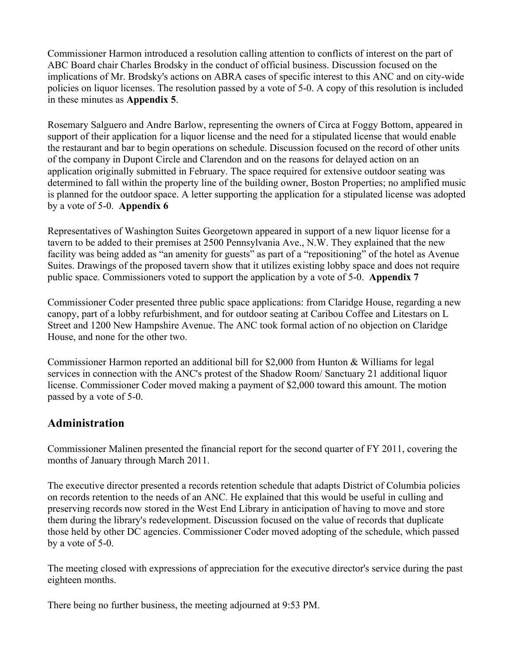Commissioner Harmon introduced a resolution calling attention to conflicts of interest on the part of ABC Board chair Charles Brodsky in the conduct of official business. Discussion focused on the implications of Mr. Brodsky's actions on ABRA cases of specific interest to this ANC and on city-wide policies on liquor licenses. The resolution passed by a vote of 5-0. A copy of this resolution is included in these minutes as **Appendix 5**.

Rosemary Salguero and Andre Barlow, representing the owners of Circa at Foggy Bottom, appeared in support of their application for a liquor license and the need for a stipulated license that would enable the restaurant and bar to begin operations on schedule. Discussion focused on the record of other units of the company in Dupont Circle and Clarendon and on the reasons for delayed action on an application originally submitted in February. The space required for extensive outdoor seating was determined to fall within the property line of the building owner, Boston Properties; no amplified music is planned for the outdoor space. A letter supporting the application for a stipulated license was adopted by a vote of 5-0. **Appendix 6**

Representatives of Washington Suites Georgetown appeared in support of a new liquor license for a tavern to be added to their premises at 2500 Pennsylvania Ave., N.W. They explained that the new facility was being added as "an amenity for guests" as part of a "repositioning" of the hotel as Avenue Suites. Drawings of the proposed tavern show that it utilizes existing lobby space and does not require public space. Commissioners voted to support the application by a vote of 5-0. **Appendix 7**

Commissioner Coder presented three public space applications: from Claridge House, regarding a new canopy, part of a lobby refurbishment, and for outdoor seating at Caribou Coffee and Litestars on L Street and 1200 New Hampshire Avenue. The ANC took formal action of no objection on Claridge House, and none for the other two.

Commissioner Harmon reported an additional bill for \$2,000 from Hunton & Williams for legal services in connection with the ANC's protest of the Shadow Room/ Sanctuary 21 additional liquor license. Commissioner Coder moved making a payment of \$2,000 toward this amount. The motion passed by a vote of 5-0.

### **Administration**

Commissioner Malinen presented the financial report for the second quarter of FY 2011, covering the months of January through March 2011.

The executive director presented a records retention schedule that adapts District of Columbia policies on records retention to the needs of an ANC. He explained that this would be useful in culling and preserving records now stored in the West End Library in anticipation of having to move and store them during the library's redevelopment. Discussion focused on the value of records that duplicate those held by other DC agencies. Commissioner Coder moved adopting of the schedule, which passed by a vote of 5-0.

The meeting closed with expressions of appreciation for the executive director's service during the past eighteen months.

There being no further business, the meeting adjourned at 9:53 PM.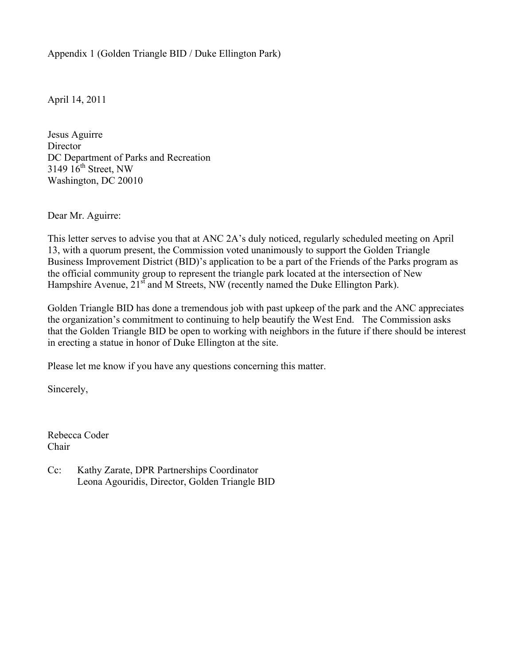Appendix 1 (Golden Triangle BID / Duke Ellington Park)

April 14, 2011

Jesus Aguirre **Director** DC Department of Parks and Recreation 3149  $16<sup>th</sup>$  Street, NW Washington, DC 20010

Dear Mr. Aguirre:

This letter serves to advise you that at ANC 2A's duly noticed, regularly scheduled meeting on April 13, with a quorum present, the Commission voted unanimously to support the Golden Triangle Business Improvement District (BID)'s application to be a part of the Friends of the Parks program as the official community group to represent the triangle park located at the intersection of New Hampshire Avenue,  $21^{st}$  and M Streets, NW (recently named the Duke Ellington Park).

Golden Triangle BID has done a tremendous job with past upkeep of the park and the ANC appreciates the organization's commitment to continuing to help beautify the West End. The Commission asks that the Golden Triangle BID be open to working with neighbors in the future if there should be interest in erecting a statue in honor of Duke Ellington at the site.

Please let me know if you have any questions concerning this matter.

Sincerely,

Rebecca Coder Chair

Cc: Kathy Zarate, DPR Partnerships Coordinator Leona Agouridis, Director, Golden Triangle BID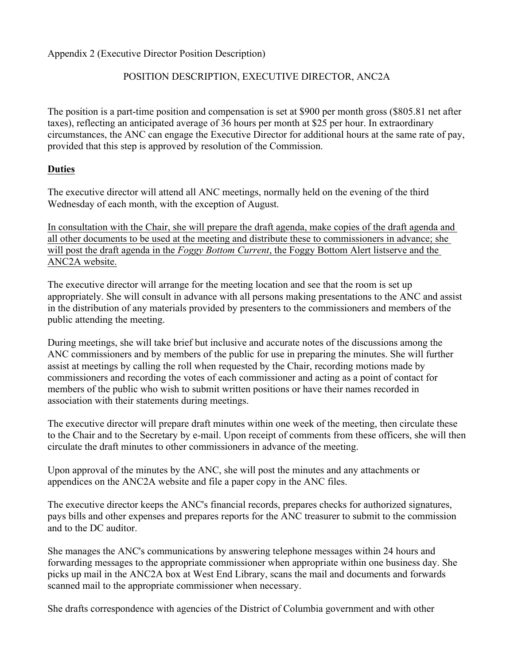Appendix 2 (Executive Director Position Description)

### POSITION DESCRIPTION, EXECUTIVE DIRECTOR, ANC2A

The position is a part-time position and compensation is set at \$900 per month gross (\$805.81 net after taxes), reflecting an anticipated average of 36 hours per month at \$25 per hour. In extraordinary circumstances, the ANC can engage the Executive Director for additional hours at the same rate of pay, provided that this step is approved by resolution of the Commission.

### **Duties**

The executive director will attend all ANC meetings, normally held on the evening of the third Wednesday of each month, with the exception of August.

In consultation with the Chair, she will prepare the draft agenda, make copies of the draft agenda and all other documents to be used at the meeting and distribute these to commissioners in advance; she will post the draft agenda in the *Foggy Bottom Current*, the Foggy Bottom Alert listserve and the ANC2A website.

The executive director will arrange for the meeting location and see that the room is set up appropriately. She will consult in advance with all persons making presentations to the ANC and assist in the distribution of any materials provided by presenters to the commissioners and members of the public attending the meeting.

During meetings, she will take brief but inclusive and accurate notes of the discussions among the ANC commissioners and by members of the public for use in preparing the minutes. She will further assist at meetings by calling the roll when requested by the Chair, recording motions made by commissioners and recording the votes of each commissioner and acting as a point of contact for members of the public who wish to submit written positions or have their names recorded in association with their statements during meetings.

The executive director will prepare draft minutes within one week of the meeting, then circulate these to the Chair and to the Secretary by e-mail. Upon receipt of comments from these officers, she will then circulate the draft minutes to other commissioners in advance of the meeting.

Upon approval of the minutes by the ANC, she will post the minutes and any attachments or appendices on the ANC2A website and file a paper copy in the ANC files.

The executive director keeps the ANC's financial records, prepares checks for authorized signatures, pays bills and other expenses and prepares reports for the ANC treasurer to submit to the commission and to the DC auditor.

She manages the ANC's communications by answering telephone messages within 24 hours and forwarding messages to the appropriate commissioner when appropriate within one business day. She picks up mail in the ANC2A box at West End Library, scans the mail and documents and forwards scanned mail to the appropriate commissioner when necessary.

She drafts correspondence with agencies of the District of Columbia government and with other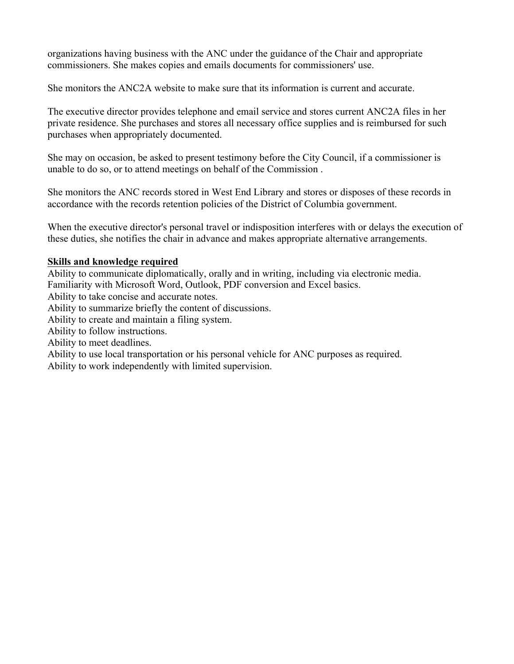organizations having business with the ANC under the guidance of the Chair and appropriate commissioners. She makes copies and emails documents for commissioners' use.

She monitors the ANC2A website to make sure that its information is current and accurate.

The executive director provides telephone and email service and stores current ANC2A files in her private residence. She purchases and stores all necessary office supplies and is reimbursed for such purchases when appropriately documented.

She may on occasion, be asked to present testimony before the City Council, if a commissioner is unable to do so, or to attend meetings on behalf of the Commission .

She monitors the ANC records stored in West End Library and stores or disposes of these records in accordance with the records retention policies of the District of Columbia government.

When the executive director's personal travel or indisposition interferes with or delays the execution of these duties, she notifies the chair in advance and makes appropriate alternative arrangements.

### **Skills and knowledge required**

Ability to communicate diplomatically, orally and in writing, including via electronic media. Familiarity with Microsoft Word, Outlook, PDF conversion and Excel basics. Ability to take concise and accurate notes. Ability to summarize briefly the content of discussions. Ability to create and maintain a filing system. Ability to follow instructions. Ability to meet deadlines. Ability to use local transportation or his personal vehicle for ANC purposes as required. Ability to work independently with limited supervision.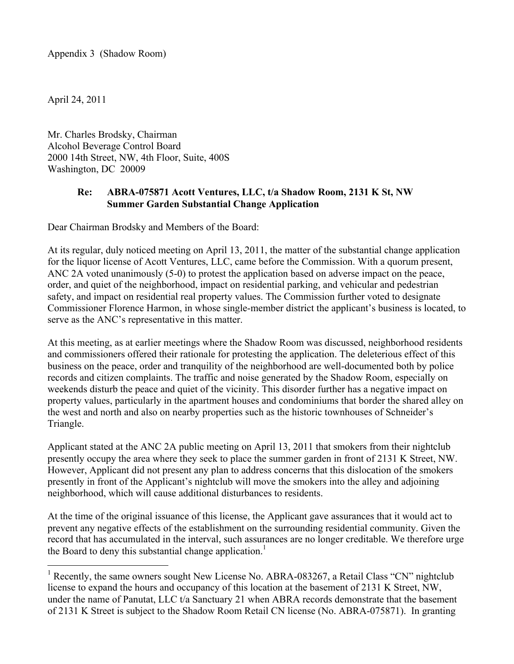Appendix 3 (Shadow Room)

April 24, 2011

Mr. Charles Brodsky, Chairman Alcohol Beverage Control Board 2000 14th Street, NW, 4th Floor, Suite, 400S Washington, DC 20009

### **Re: ABRA-075871 Acott Ventures, LLC, t/a Shadow Room, 2131 K St, NW Summer Garden Substantial Change Application**

Dear Chairman Brodsky and Members of the Board:

At its regular, duly noticed meeting on April 13, 2011, the matter of the substantial change application for the liquor license of Acott Ventures, LLC, came before the Commission. With a quorum present, ANC 2A voted unanimously (5-0) to protest the application based on adverse impact on the peace, order, and quiet of the neighborhood, impact on residential parking, and vehicular and pedestrian safety, and impact on residential real property values. The Commission further voted to designate Commissioner Florence Harmon, in whose single-member district the applicant's business is located, to serve as the ANC's representative in this matter.

At this meeting, as at earlier meetings where the Shadow Room was discussed, neighborhood residents and commissioners offered their rationale for protesting the application. The deleterious effect of this business on the peace, order and tranquility of the neighborhood are well-documented both by police records and citizen complaints. The traffic and noise generated by the Shadow Room, especially on weekends disturb the peace and quiet of the vicinity. This disorder further has a negative impact on property values, particularly in the apartment houses and condominiums that border the shared alley on the west and north and also on nearby properties such as the historic townhouses of Schneider's Triangle.

Applicant stated at the ANC 2A public meeting on April 13, 2011 that smokers from their nightclub presently occupy the area where they seek to place the summer garden in front of 2131 K Street, NW. However, Applicant did not present any plan to address concerns that this dislocation of the smokers presently in front of the Applicant's nightclub will move the smokers into the alley and adjoining neighborhood, which will cause additional disturbances to residents.

At the time of the original issuance of this license, the Applicant gave assurances that it would act to prevent any negative effects of the establishment on the surrounding residential community. Given the record that has accumulated in the interval, such assurances are no longer creditable. We therefore urge the Board to deny this substantial change application.<sup>1</sup>

<sup>&</sup>lt;sup>1</sup> Recently, the same owners sought New License No. ABRA-083267, a Retail Class "CN" nightclub license to expand the hours and occupancy of this location at the basement of 2131 K Street, NW, under the name of Panutat, LLC t/a Sanctuary 21 when ABRA records demonstrate that the basement of 2131 K Street is subject to the Shadow Room Retail CN license (No. ABRA-075871). In granting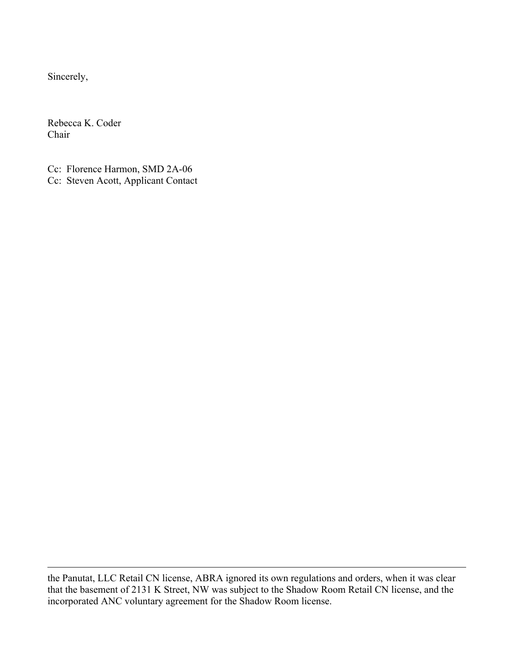Sincerely,

 $\overline{a}$ 

Rebecca K. Coder Chair

Cc: Florence Harmon, SMD 2A-06 Cc: Steven Acott, Applicant Contact

the Panutat, LLC Retail CN license, ABRA ignored its own regulations and orders, when it was clear that the basement of 2131 K Street, NW was subject to the Shadow Room Retail CN license, and the incorporated ANC voluntary agreement for the Shadow Room license.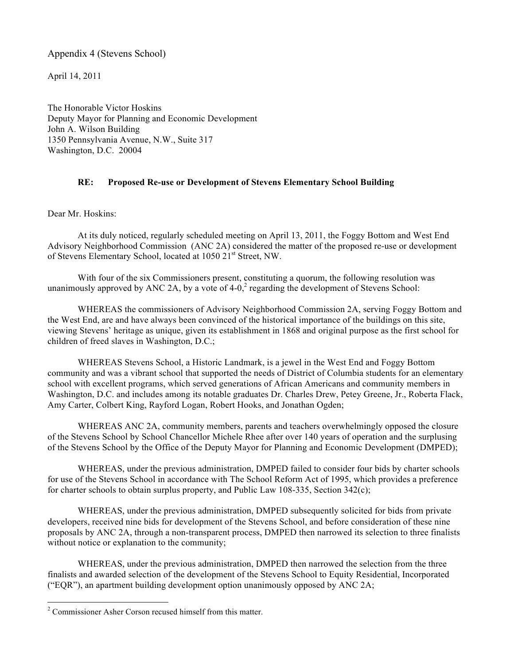#### Appendix 4 (Stevens School)

April 14, 2011

The Honorable Victor Hoskins Deputy Mayor for Planning and Economic Development John A. Wilson Building 1350 Pennsylvania Avenue, N.W., Suite 317 Washington, D.C. 20004

#### **RE: Proposed Re-use or Development of Stevens Elementary School Building**

Dear Mr. Hoskins:

At its duly noticed, regularly scheduled meeting on April 13, 2011, the Foggy Bottom and West End Advisory Neighborhood Commission (ANC 2A) considered the matter of the proposed re-use or development of Stevens Elementary School, located at 1050 21<sup>st</sup> Street, NW.

With four of the six Commissioners present, constituting a quorum, the following resolution was unanimously approved by ANC 2A, by a vote of  $4-0$ , regarding the development of Stevens School:

WHEREAS the commissioners of Advisory Neighborhood Commission 2A, serving Foggy Bottom and the West End, are and have always been convinced of the historical importance of the buildings on this site, viewing Stevens' heritage as unique, given its establishment in 1868 and original purpose as the first school for children of freed slaves in Washington, D.C.;

WHEREAS Stevens School, a Historic Landmark, is a jewel in the West End and Foggy Bottom community and was a vibrant school that supported the needs of District of Columbia students for an elementary school with excellent programs, which served generations of African Americans and community members in Washington, D.C. and includes among its notable graduates Dr. Charles Drew, Petey Greene, Jr., Roberta Flack, Amy Carter, Colbert King, Rayford Logan, Robert Hooks, and Jonathan Ogden;

WHEREAS ANC 2A, community members, parents and teachers overwhelmingly opposed the closure of the Stevens School by School Chancellor Michele Rhee after over 140 years of operation and the surplusing of the Stevens School by the Office of the Deputy Mayor for Planning and Economic Development (DMPED);

WHEREAS, under the previous administration, DMPED failed to consider four bids by charter schools for use of the Stevens School in accordance with The School Reform Act of 1995, which provides a preference for charter schools to obtain surplus property, and Public Law 108-335, Section 342(c);

WHEREAS, under the previous administration, DMPED subsequently solicited for bids from private developers, received nine bids for development of the Stevens School, and before consideration of these nine proposals by ANC 2A, through a non-transparent process, DMPED then narrowed its selection to three finalists without notice or explanation to the community;

WHEREAS, under the previous administration, DMPED then narrowed the selection from the three finalists and awarded selection of the development of the Stevens School to Equity Residential, Incorporated ("EQR"), an apartment building development option unanimously opposed by ANC 2A;

 $2 \text{ Commissioner Asher Corson recused himself from this matter.}$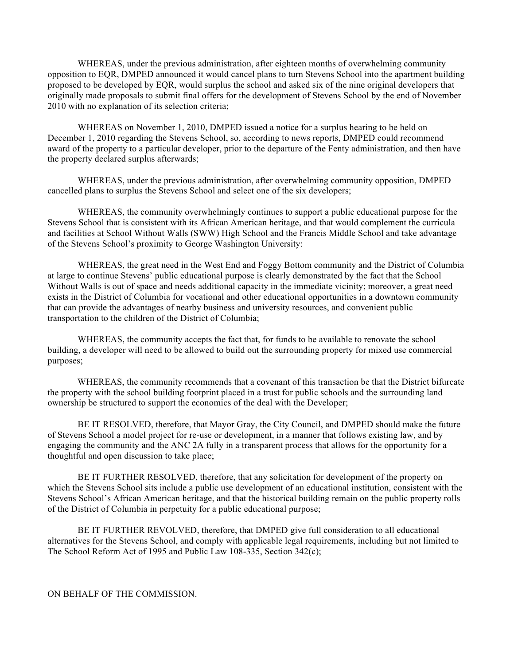WHEREAS, under the previous administration, after eighteen months of overwhelming community opposition to EQR, DMPED announced it would cancel plans to turn Stevens School into the apartment building proposed to be developed by EQR, would surplus the school and asked six of the nine original developers that originally made proposals to submit final offers for the development of Stevens School by the end of November 2010 with no explanation of its selection criteria;

WHEREAS on November 1, 2010, DMPED issued a notice for a surplus hearing to be held on December 1, 2010 regarding the Stevens School, so, according to news reports, DMPED could recommend award of the property to a particular developer, prior to the departure of the Fenty administration, and then have the property declared surplus afterwards;

WHEREAS, under the previous administration, after overwhelming community opposition, DMPED cancelled plans to surplus the Stevens School and select one of the six developers;

WHEREAS, the community overwhelmingly continues to support a public educational purpose for the Stevens School that is consistent with its African American heritage, and that would complement the curricula and facilities at School Without Walls (SWW) High School and the Francis Middle School and take advantage of the Stevens School's proximity to George Washington University:

WHEREAS, the great need in the West End and Foggy Bottom community and the District of Columbia at large to continue Stevens' public educational purpose is clearly demonstrated by the fact that the School Without Walls is out of space and needs additional capacity in the immediate vicinity; moreover, a great need exists in the District of Columbia for vocational and other educational opportunities in a downtown community that can provide the advantages of nearby business and university resources, and convenient public transportation to the children of the District of Columbia;

WHEREAS, the community accepts the fact that, for funds to be available to renovate the school building, a developer will need to be allowed to build out the surrounding property for mixed use commercial purposes;

 WHEREAS, the community recommends that a covenant of this transaction be that the District bifurcate the property with the school building footprint placed in a trust for public schools and the surrounding land ownership be structured to support the economics of the deal with the Developer;

BE IT RESOLVED, therefore, that Mayor Gray, the City Council, and DMPED should make the future of Stevens School a model project for re-use or development, in a manner that follows existing law, and by engaging the community and the ANC 2A fully in a transparent process that allows for the opportunity for a thoughtful and open discussion to take place;

BE IT FURTHER RESOLVED, therefore, that any solicitation for development of the property on which the Stevens School sits include a public use development of an educational institution, consistent with the Stevens School's African American heritage, and that the historical building remain on the public property rolls of the District of Columbia in perpetuity for a public educational purpose;

BE IT FURTHER REVOLVED, therefore, that DMPED give full consideration to all educational alternatives for the Stevens School, and comply with applicable legal requirements, including but not limited to The School Reform Act of 1995 and Public Law 108-335, Section 342(c);

ON BEHALF OF THE COMMISSION.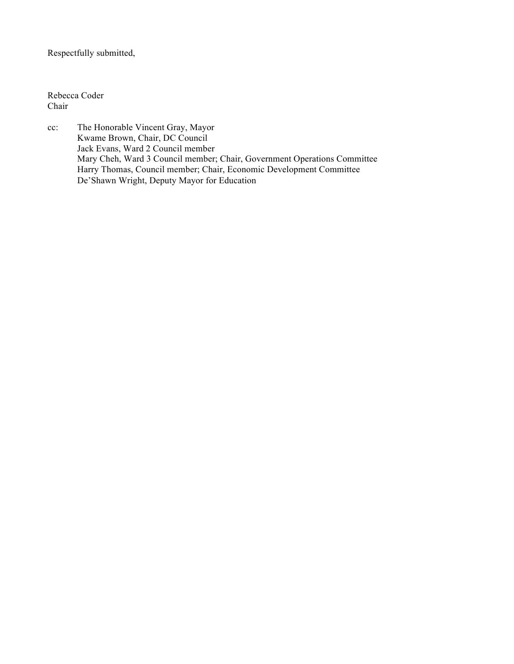### Respectfully submitted,

Rebecca Coder Chair

cc: The Honorable Vincent Gray, Mayor Kwame Brown, Chair, DC Council Jack Evans, Ward 2 Council member Mary Cheh, Ward 3 Council member; Chair, Government Operations Committee Harry Thomas, Council member; Chair, Economic Development Committee De'Shawn Wright, Deputy Mayor for Education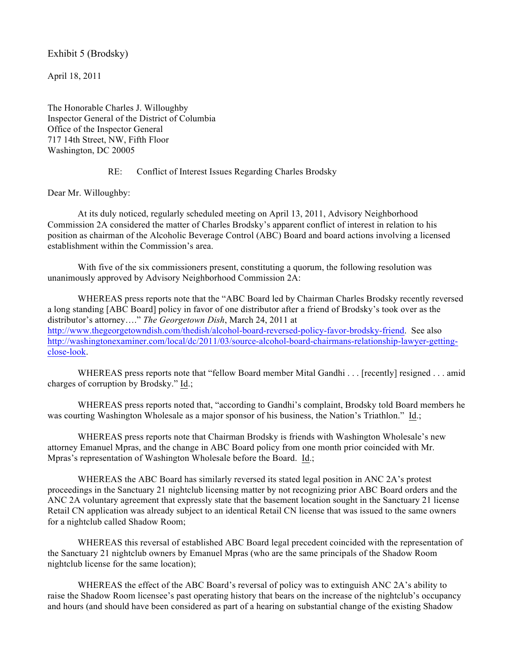Exhibit 5 (Brodsky)

April 18, 2011

The Honorable Charles J. Willoughby Inspector General of the District of Columbia Office of the Inspector General 717 14th Street, NW, Fifth Floor Washington, DC 20005

#### RE: Conflict of Interest Issues Regarding Charles Brodsky

Dear Mr. Willoughby:

At its duly noticed, regularly scheduled meeting on April 13, 2011, Advisory Neighborhood Commission 2A considered the matter of Charles Brodsky's apparent conflict of interest in relation to his position as chairman of the Alcoholic Beverage Control (ABC) Board and board actions involving a licensed establishment within the Commission's area.

With five of the six commissioners present, constituting a quorum, the following resolution was unanimously approved by Advisory Neighborhood Commission 2A:

WHEREAS press reports note that the "ABC Board led by Chairman Charles Brodsky recently reversed a long standing [ABC Board] policy in favor of one distributor after a friend of Brodsky's took over as the distributor's attorney…." *The Georgetown Dish*, March 24, 2011 at http://www.thegeorgetowndish.com/thedish/alcohol-board-reversed-policy-favor-brodsky-friend. See also http://washingtonexaminer.com/local/dc/2011/03/source-alcohol-board-chairmans-relationship-lawyer-gettingclose-look.

WHEREAS press reports note that "fellow Board member Mital Gandhi . . . [recently] resigned . . . amid charges of corruption by Brodsky." Id.;

WHEREAS press reports noted that, "according to Gandhi's complaint, Brodsky told Board members he was courting Washington Wholesale as a major sponsor of his business, the Nation's Triathlon." Id.;

WHEREAS press reports note that Chairman Brodsky is friends with Washington Wholesale's new attorney Emanuel Mpras, and the change in ABC Board policy from one month prior coincided with Mr. Mpras's representation of Washington Wholesale before the Board. Id.;

WHEREAS the ABC Board has similarly reversed its stated legal position in ANC 2A's protest proceedings in the Sanctuary 21 nightclub licensing matter by not recognizing prior ABC Board orders and the ANC 2A voluntary agreement that expressly state that the basement location sought in the Sanctuary 21 license Retail CN application was already subject to an identical Retail CN license that was issued to the same owners for a nightclub called Shadow Room;

WHEREAS this reversal of established ABC Board legal precedent coincided with the representation of the Sanctuary 21 nightclub owners by Emanuel Mpras (who are the same principals of the Shadow Room nightclub license for the same location);

WHEREAS the effect of the ABC Board's reversal of policy was to extinguish ANC 2A's ability to raise the Shadow Room licensee's past operating history that bears on the increase of the nightclub's occupancy and hours (and should have been considered as part of a hearing on substantial change of the existing Shadow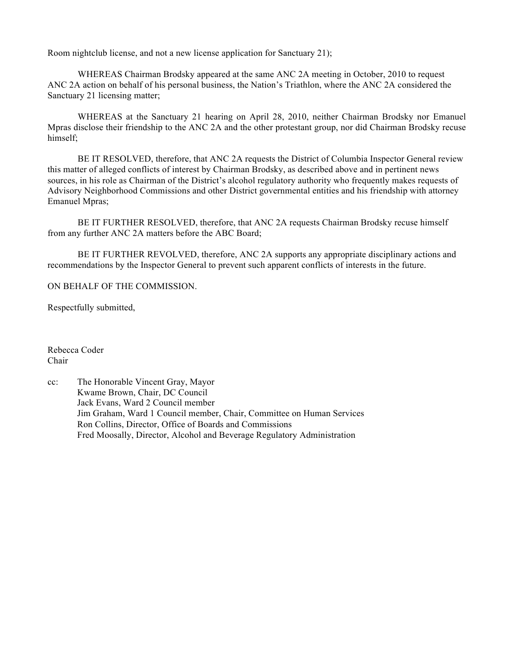Room nightclub license, and not a new license application for Sanctuary 21);

WHEREAS Chairman Brodsky appeared at the same ANC 2A meeting in October, 2010 to request ANC 2A action on behalf of his personal business, the Nation's Triathlon, where the ANC 2A considered the Sanctuary 21 licensing matter;

WHEREAS at the Sanctuary 21 hearing on April 28, 2010, neither Chairman Brodsky nor Emanuel Mpras disclose their friendship to the ANC 2A and the other protestant group, nor did Chairman Brodsky recuse himself;

BE IT RESOLVED, therefore, that ANC 2A requests the District of Columbia Inspector General review this matter of alleged conflicts of interest by Chairman Brodsky, as described above and in pertinent news sources, in his role as Chairman of the District's alcohol regulatory authority who frequently makes requests of Advisory Neighborhood Commissions and other District governmental entities and his friendship with attorney Emanuel Mpras;

BE IT FURTHER RESOLVED, therefore, that ANC 2A requests Chairman Brodsky recuse himself from any further ANC 2A matters before the ABC Board;

BE IT FURTHER REVOLVED, therefore, ANC 2A supports any appropriate disciplinary actions and recommendations by the Inspector General to prevent such apparent conflicts of interests in the future.

#### ON BEHALF OF THE COMMISSION.

Respectfully submitted,

Rebecca Coder Chair

cc: The Honorable Vincent Gray, Mayor Kwame Brown, Chair, DC Council Jack Evans, Ward 2 Council member Jim Graham, Ward 1 Council member, Chair, Committee on Human Services Ron Collins, Director, Office of Boards and Commissions Fred Moosally, Director, Alcohol and Beverage Regulatory Administration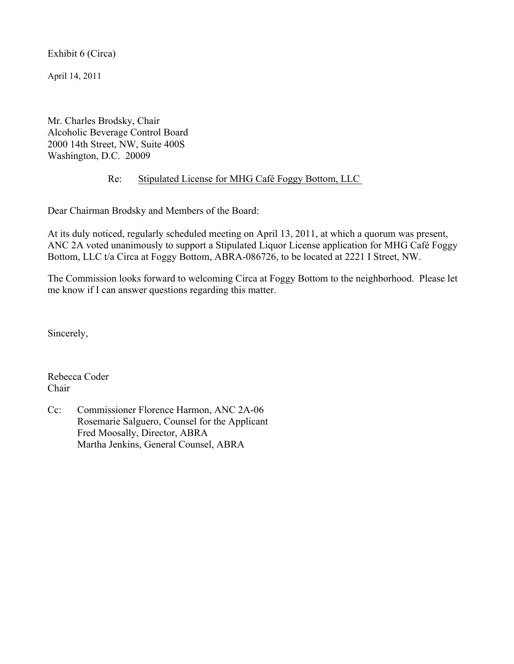Exhibit 6 (Circa)

April 14, 2011

Mr. Charles Brodsky, Chair Alcoholic Beverage Control Board 2000 14th Street, NW, Suite 400S Washington, D.C. 20009

### Re: Stipulated License for MHG Café Foggy Bottom, LLC

Dear Chairman Brodsky and Members of the Board:

At its duly noticed, regularly scheduled meeting on April 13, 2011, at which a quorum was present, ANC 2A voted unanimously to support a Stipulated Liquor License application for MHG Café Foggy Bottom, LLC t/a Circa at Foggy Bottom, ABRA-086726, to be located at 2221 I Street, NW.

The Commission looks forward to welcoming Circa at Foggy Bottom to the neighborhood. Please let me know if I can answer questions regarding this matter.

Sincerely,

Rebecca Coder Chair

Cc: Commissioner Florence Harmon, ANC 2A-06 Rosemarie Salguero, Counsel for the Applicant Fred Moosally, Director, ABRA Martha Jenkins, General Counsel, ABRA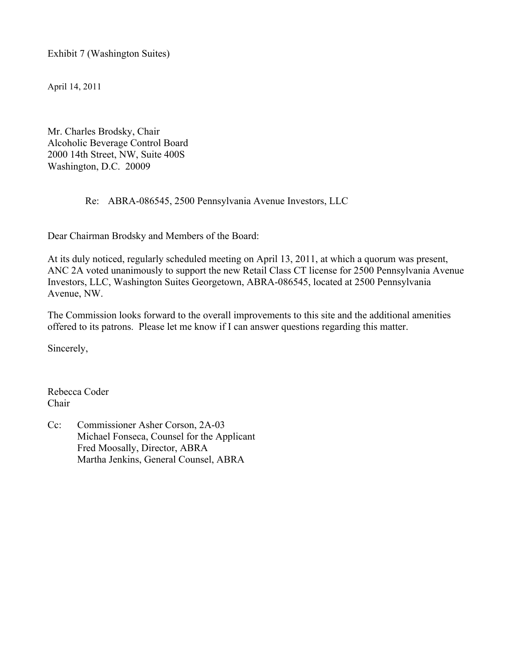Exhibit 7 (Washington Suites)

April 14, 2011

Mr. Charles Brodsky, Chair Alcoholic Beverage Control Board 2000 14th Street, NW, Suite 400S Washington, D.C. 20009

#### Re: ABRA-086545, 2500 Pennsylvania Avenue Investors, LLC

Dear Chairman Brodsky and Members of the Board:

At its duly noticed, regularly scheduled meeting on April 13, 2011, at which a quorum was present, ANC 2A voted unanimously to support the new Retail Class CT license for 2500 Pennsylvania Avenue Investors, LLC, Washington Suites Georgetown, ABRA-086545, located at 2500 Pennsylvania Avenue, NW.

The Commission looks forward to the overall improvements to this site and the additional amenities offered to its patrons. Please let me know if I can answer questions regarding this matter.

Sincerely,

Rebecca Coder Chair

Cc: Commissioner Asher Corson, 2A-03 Michael Fonseca, Counsel for the Applicant Fred Moosally, Director, ABRA Martha Jenkins, General Counsel, ABRA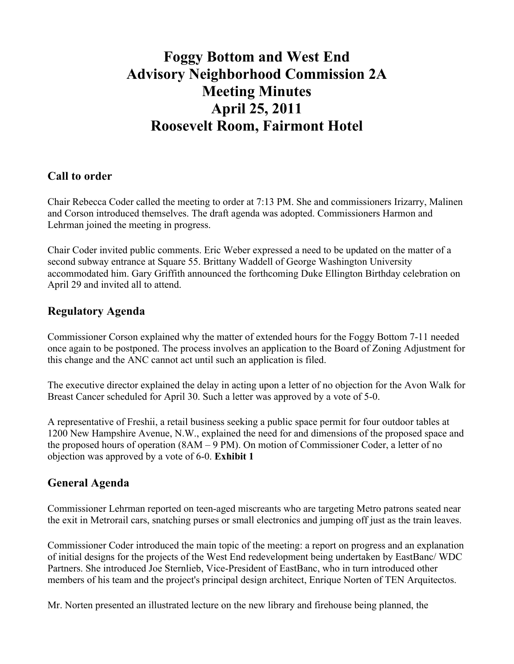# **Foggy Bottom and West End Advisory Neighborhood Commission 2A Meeting Minutes April 25, 2011 Roosevelt Room, Fairmont Hotel**

### **Call to order**

Chair Rebecca Coder called the meeting to order at 7:13 PM. She and commissioners Irizarry, Malinen and Corson introduced themselves. The draft agenda was adopted. Commissioners Harmon and Lehrman joined the meeting in progress.

Chair Coder invited public comments. Eric Weber expressed a need to be updated on the matter of a second subway entrance at Square 55. Brittany Waddell of George Washington University accommodated him. Gary Griffith announced the forthcoming Duke Ellington Birthday celebration on April 29 and invited all to attend.

### **Regulatory Agenda**

Commissioner Corson explained why the matter of extended hours for the Foggy Bottom 7-11 needed once again to be postponed. The process involves an application to the Board of Zoning Adjustment for this change and the ANC cannot act until such an application is filed.

The executive director explained the delay in acting upon a letter of no objection for the Avon Walk for Breast Cancer scheduled for April 30. Such a letter was approved by a vote of 5-0.

A representative of Freshii, a retail business seeking a public space permit for four outdoor tables at 1200 New Hampshire Avenue, N.W., explained the need for and dimensions of the proposed space and the proposed hours of operation (8AM – 9 PM). On motion of Commissioner Coder, a letter of no objection was approved by a vote of 6-0. **Exhibit 1**

# **General Agenda**

Commissioner Lehrman reported on teen-aged miscreants who are targeting Metro patrons seated near the exit in Metrorail cars, snatching purses or small electronics and jumping off just as the train leaves.

Commissioner Coder introduced the main topic of the meeting: a report on progress and an explanation of initial designs for the projects of the West End redevelopment being undertaken by EastBanc/ WDC Partners. She introduced Joe Sternlieb, Vice-President of EastBanc, who in turn introduced other members of his team and the project's principal design architect, Enrique Norten of TEN Arquitectos.

Mr. Norten presented an illustrated lecture on the new library and firehouse being planned, the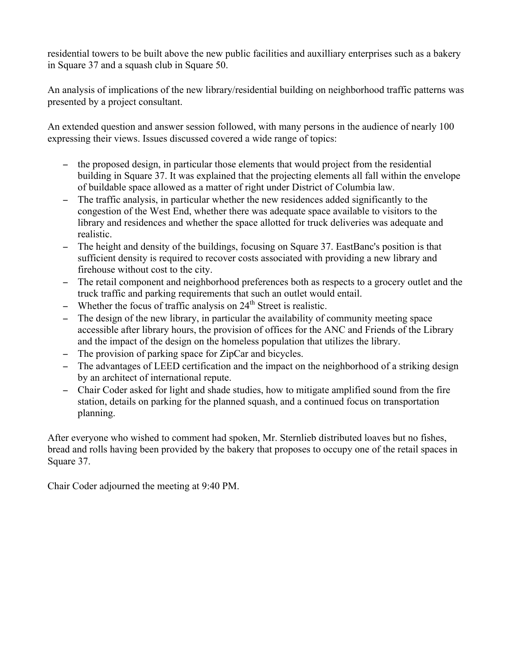residential towers to be built above the new public facilities and auxilliary enterprises such as a bakery in Square 37 and a squash club in Square 50.

An analysis of implications of the new library/residential building on neighborhood traffic patterns was presented by a project consultant.

An extended question and answer session followed, with many persons in the audience of nearly 100 expressing their views. Issues discussed covered a wide range of topics:

- − the proposed design, in particular those elements that would project from the residential building in Square 37. It was explained that the projecting elements all fall within the envelope of buildable space allowed as a matter of right under District of Columbia law.
- − The traffic analysis, in particular whether the new residences added significantly to the congestion of the West End, whether there was adequate space available to visitors to the library and residences and whether the space allotted for truck deliveries was adequate and realistic.
- − The height and density of the buildings, focusing on Square 37. EastBanc's position is that sufficient density is required to recover costs associated with providing a new library and firehouse without cost to the city.
- − The retail component and neighborhood preferences both as respects to a grocery outlet and the truck traffic and parking requirements that such an outlet would entail.
- − Whether the focus of traffic analysis on 24<sup>th</sup> Street is realistic.
- − The design of the new library, in particular the availability of community meeting space accessible after library hours, the provision of offices for the ANC and Friends of the Library and the impact of the design on the homeless population that utilizes the library.
- − The provision of parking space for ZipCar and bicycles.
- − The advantages of LEED certification and the impact on the neighborhood of a striking design by an architect of international repute.
- − Chair Coder asked for light and shade studies, how to mitigate amplified sound from the fire station, details on parking for the planned squash, and a continued focus on transportation planning.

After everyone who wished to comment had spoken, Mr. Sternlieb distributed loaves but no fishes, bread and rolls having been provided by the bakery that proposes to occupy one of the retail spaces in Square 37.

Chair Coder adjourned the meeting at 9:40 PM.